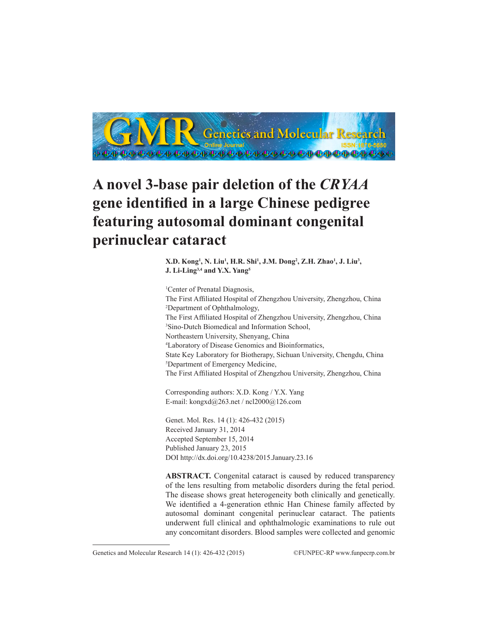

# **A novel 3-base pair deletion of the** *CRYAA* **gene identified in a large Chinese pedigree featuring autosomal dominant congenital perinuclear cataract**

**X.D.** Kong<sup>1</sup>, N. Liu<sup>1</sup>, H.R. Shi<sup>1</sup>, J.M. Dong<sup>2</sup>, Z.H. Zhao<sup>1</sup>, J. Liu<sup>3</sup>, **J. Li-Ling3,4 and Y.X. Yang5**

<sup>1</sup>Center of Prenatal Diagnosis, The First Affiliated Hospital of Zhengzhou University, Zhengzhou, China 2 Department of Ophthalmology, The First Affiliated Hospital of Zhengzhou University, Zhengzhou, China 3 Sino-Dutch Biomedical and Information School, Northeastern University, Shenyang, China 4 Laboratory of Disease Genomics and Bioinformatics, State Key Laboratory for Biotherapy, Sichuan University, Chengdu, China 5 Department of Emergency Medicine, The First Affiliated Hospital of Zhengzhou University, Zhengzhou, China

Corresponding authors: X.D. Kong / Y.X. Yang E-mail: kongxd@263.net / ncl2000@126.com

Genet. Mol. Res. 14 (1): 426-432 (2015) Received January 31, 2014 Accepted September 15, 2014 Published January 23, 2015 DOI http://dx.doi.org/10.4238/2015.January.23.16

**ABSTRACT.** Congenital cataract is caused by reduced transparency of the lens resulting from metabolic disorders during the fetal period. The disease shows great heterogeneity both clinically and genetically. We identified a 4-generation ethnic Han Chinese family affected by autosomal dominant congenital perinuclear cataract. The patients underwent full clinical and ophthalmologic examinations to rule out any concomitant disorders. Blood samples were collected and genomic

Genetics and Molecular Research 14 (1): 426-432 (2015) ©FUNPEC-RP www.funpecrp.com.br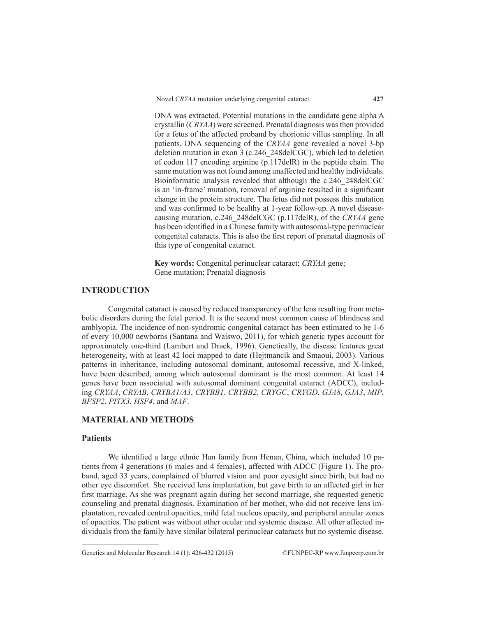DNA was extracted. Potential mutations in the candidate gene alpha A crystallin (*CRYAA*) were screened. Prenatal diagnosis was then provided for a fetus of the affected proband by chorionic villus sampling. In all patients, DNA sequencing of the *CRYAA* gene revealed a novel 3-bp deletion mutation in exon 3 (c.246\_248delCGC), which led to deletion of codon 117 encoding arginine (p.117delR) in the peptide chain. The same mutation was not found among unaffected and healthy individuals. Bioinformatic analysis revealed that although the c.246\_248delCGC is an 'in-frame' mutation, removal of arginine resulted in a significant change in the protein structure. The fetus did not possess this mutation and was confirmed to be healthy at 1-year follow-up. A novel diseasecausing mutation, c.246\_248delCGC (p.117delR), of the *CRYAA* gene has been identified in a Chinese family with autosomal-type perinuclear congenital cataracts. This is also the first report of prenatal diagnosis of this type of congenital cataract.

**Key words:** Congenital perinuclear cataract; *CRYAA* gene; Gene mutation; Prenatal diagnosis

# **INTRODUCTION**

Congenital cataract is caused by reduced transparency of the lens resulting from metabolic disorders during the fetal period. It is the second most common cause of blindness and amblyopia. The incidence of non-syndromic congenital cataract has been estimated to be 1-6 of every 10,000 newborns (Santana and Waiswo, 2011), for which genetic types account for approximately one-third (Lambert and Drack, 1996). Genetically, the disease features great heterogeneity, with at least 42 loci mapped to date (Hejtmancik and Smaoui, 2003). Various patterns in inheritance, including autosomal dominant, autosomal recessive, and X-linked, have been described, among which autosomal dominant is the most common. At least 14 genes have been associated with autosomal dominant congenital cataract (ADCC), including *CRYAA*, *CRYAB*, *CRYBA1/A3*, *CRYBB1*, *CRYBB2*, *CRYGC*, *CRYGD*, *GJA8*, *GJA3*, *MIP*, *BFSP2*, *PITX3*, *HSF4*, and *MAF*.

# **MATERIAL AND METHODS**

## **Patients**

We identified a large ethnic Han family from Henan, China, which included 10 patients from 4 generations (6 males and 4 females), affected with ADCC (Figure 1). The proband, aged 33 years, complained of blurred vision and poor eyesight since birth, but had no other eye discomfort. She received lens implantation, but gave birth to an affected girl in her first marriage. As she was pregnant again during her second marriage, she requested genetic counseling and prenatal diagnosis. Examination of her mother, who did not receive lens implantation, revealed central opacities, mild fetal nucleus opacity, and peripheral annular zones of opacities. The patient was without other ocular and systemic disease. All other affected individuals from the family have similar bilateral perinuclear cataracts but no systemic disease.

Genetics and Molecular Research 14 (1): 426-432 (2015) ©FUNPEC-RP www.funpecrp.com.br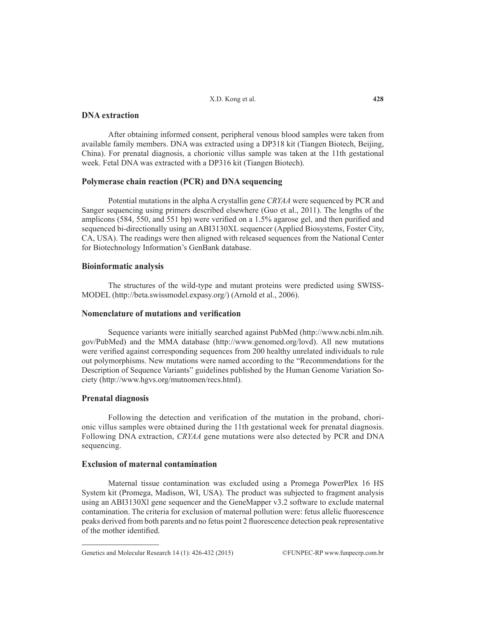## X.D. Kong et al.

# **DNA extraction**

After obtaining informed consent, peripheral venous blood samples were taken from available family members. DNA was extracted using a DP318 kit (Tiangen Biotech, Beijing, China). For prenatal diagnosis, a chorionic villus sample was taken at the 11th gestational week. Fetal DNA was extracted with a DP316 kit (Tiangen Biotech).

## **Polymerase chain reaction (PCR) and DNA sequencing**

Potential mutations in the alpha A crystallin gene *CRYAA* were sequenced by PCR and Sanger sequencing using primers described elsewhere (Guo et al., 2011). The lengths of the amplicons (584, 550, and 551 bp) were verified on a 1.5% agarose gel, and then purified and sequenced bi-directionally using an ABI3130XL sequencer (Applied Biosystems, Foster City, CA, USA). The readings were then aligned with released sequences from the National Center for Biotechnology Information's GenBank database.

### **Bioinformatic analysis**

The structures of the wild-type and mutant proteins were predicted using SWISS-MODEL (http://beta.swissmodel.expasy.org/) (Arnold et al., 2006).

# **Nomenclature of mutations and verification**

Sequence variants were initially searched against PubMed (http://www.ncbi.nlm.nih. gov/PubMed) and the MMA database (http://www.genomed.org/lovd). All new mutations were verified against corresponding sequences from 200 healthy unrelated individuals to rule out polymorphisms. New mutations were named according to the "Recommendations for the Description of Sequence Variants" guidelines published by the Human Genome Variation Society (http://www.hgvs.org/mutnomen/recs.html).

## **Prenatal diagnosis**

Following the detection and verification of the mutation in the proband, chorionic villus samples were obtained during the 11th gestational week for prenatal diagnosis. Following DNA extraction, *CRYAA* gene mutations were also detected by PCR and DNA sequencing.

# **Exclusion of maternal contamination**

Maternal tissue contamination was excluded using a Promega PowerPlex 16 HS System kit (Promega, Madison, WI, USA). The product was subjected to fragment analysis using an ABI3130Xl gene sequencer and the GeneMapper v3.2 software to exclude maternal contamination. The criteria for exclusion of maternal pollution were: fetus allelic fluorescence peaks derived from both parents and no fetus point 2 fluorescence detection peak representative of the mother identified.

Genetics and Molecular Research 14 (1): 426-432 (2015) ©FUNPEC-RP www.funpecrp.com.br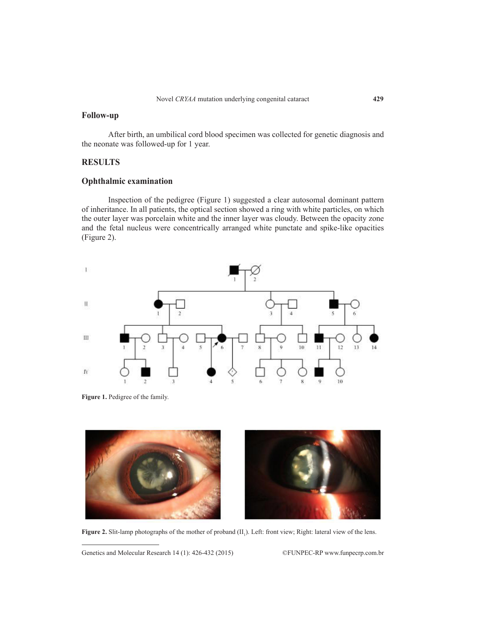# **Follow-up**

After birth, an umbilical cord blood specimen was collected for genetic diagnosis and the neonate was followed-up for 1 year.

# **RESULTS**

# **Ophthalmic examination**

Inspection of the pedigree (Figure 1) suggested a clear autosomal dominant pattern of inheritance. In all patients, the optical section showed a ring with white particles, on which the outer layer was porcelain white and the inner layer was cloudy. Between the opacity zone and the fetal nucleus were concentrically arranged white punctate and spike-like opacities (Figure 2).



**Figure 1.** Pedigree of the family.



**Figure 2.** Slit-lamp photographs of the mother of proband  $(II_1)$ . Left: front view; Right: lateral view of the lens.

Genetics and Molecular Research 14 (1): 426-432 (2015) ©FUNPEC-RP www.funpecrp.com.br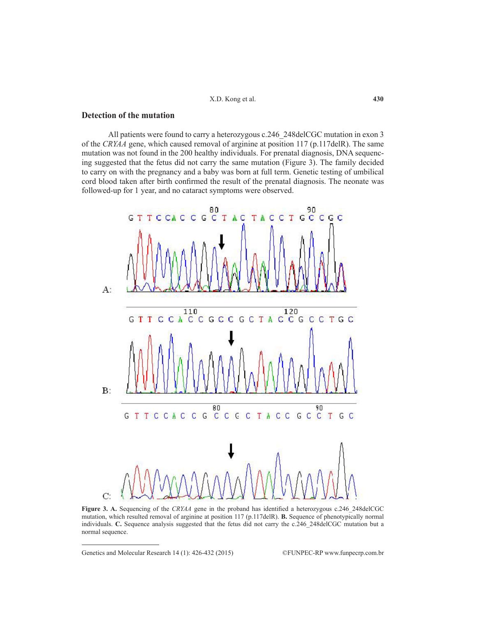X.D. Kong et al.

# **Detection of the mutation**

All patients were found to carry a heterozygous c.246\_248delCGC mutation in exon 3 of the *CRYAA* gene, which caused removal of arginine at position 117 (p.117delR). The same mutation was not found in the 200 healthy individuals. For prenatal diagnosis, DNA sequencing suggested that the fetus did not carry the same mutation (Figure 3). The family decided to carry on with the pregnancy and a baby was born at full term. Genetic testing of umbilical cord blood taken after birth confirmed the result of the prenatal diagnosis. The neonate was followed-up for 1 year, and no cataract symptoms were observed.



**Figure 3. A.** Sequencing of the *CRYAA* gene in the proband has identified a heterozygous c.246\_248delCGC mutation, which resulted removal of arginine at position 117 (p.117delR). **B.** Sequence of phenotypically normal individuals. **C.** Sequence analysis suggested that the fetus did not carry the c.246\_248delCGC mutation but a normal sequence.

Genetics and Molecular Research 14 (1): 426-432 (2015) ©FUNPEC-RP www.funpecrp.com.br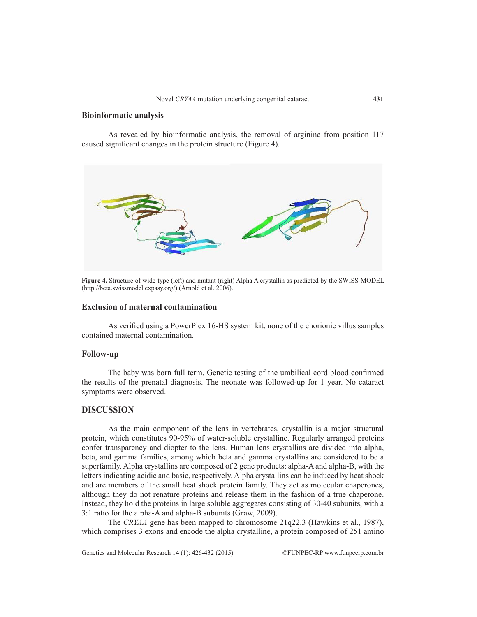# **Bioinformatic analysis**

As revealed by bioinformatic analysis, the removal of arginine from position 117 caused significant changes in the protein structure (Figure 4).



**Figure 4.** Structure of wide-type (left) and mutant (right) Alpha A crystallin as predicted by the SWISS-MODEL (http://beta.swissmodel.expasy.org/) (Arnold et al. 2006).

## **Exclusion of maternal contamination**

As verified using a PowerPlex 16-HS system kit, none of the chorionic villus samples contained maternal contamination.

## **Follow-up**

The baby was born full term. Genetic testing of the umbilical cord blood confirmed the results of the prenatal diagnosis. The neonate was followed-up for 1 year. No cataract symptoms were observed.

## **DISCUSSION**

As the main component of the lens in vertebrates, crystallin is a major structural protein, which constitutes 90-95% of water-soluble crystalline. Regularly arranged proteins confer transparency and diopter to the lens. Human lens crystallins are divided into alpha, beta, and gamma families, among which beta and gamma crystallins are considered to be a superfamily. Alpha crystallins are composed of 2 gene products: alpha-A and alpha-B, with the letters indicating acidic and basic, respectively. Alpha crystallins can be induced by heat shock and are members of the small heat shock protein family. They act as molecular chaperones, although they do not renature proteins and release them in the fashion of a true chaperone. Instead, they hold the proteins in large soluble aggregates consisting of 30-40 subunits, with a 3:1 ratio for the alpha-A and alpha-B subunits (Graw, 2009).

The *CRYAA* gene has been mapped to chromosome 21q22.3 (Hawkins et al., 1987), which comprises 3 exons and encode the alpha crystalline, a protein composed of 251 amino

Genetics and Molecular Research 14 (1): 426-432 (2015) ©FUNPEC-RP www.funpecrp.com.br